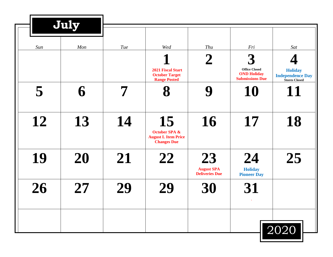|     | July |     |                                                                                    |                                                  |                                                                           |                                                                   |
|-----|------|-----|------------------------------------------------------------------------------------|--------------------------------------------------|---------------------------------------------------------------------------|-------------------------------------------------------------------|
| Sun | Mon  | Tue | Wed                                                                                | Thu                                              | Fri                                                                       | Sat                                                               |
|     |      |     | <b>2021 Fiscal Start</b><br><b>October Target</b><br><b>Range Posted</b>           | $\boldsymbol{2}$                                 | 3<br><b>Office Closed</b><br><b>OND Holiday</b><br><b>Submissions Due</b> | <b>Holiday</b><br><b>Independence Day</b><br><b>Stores Closed</b> |
| 5   | 6    |     | 8                                                                                  | 9                                                | 10                                                                        | 11                                                                |
| 12  | 13   | 14  | 15<br><b>October SPA &amp;</b><br><b>August L Item Price</b><br><b>Changes Due</b> | 16                                               | 17                                                                        | 18                                                                |
| 19  | 20   | 21  | 22                                                                                 | 23<br><b>August SPA</b><br><b>Deliveries Due</b> | 24<br><b>Holiday</b><br><b>Pioneer Day</b>                                | 25                                                                |
| 26  | 27   | 29  | 29                                                                                 | 30                                               | 31                                                                        |                                                                   |
|     |      |     |                                                                                    |                                                  |                                                                           | 2020                                                              |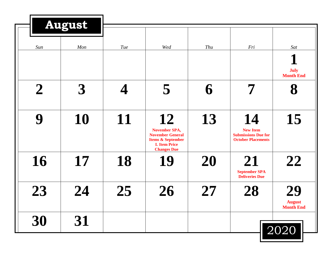|                  | <b>August</b>        |            |                                                                                                                                    |     |                                                                                  |                                         |
|------------------|----------------------|------------|------------------------------------------------------------------------------------------------------------------------------------|-----|----------------------------------------------------------------------------------|-----------------------------------------|
| Sun              | Mon                  | <b>Tue</b> | Wed                                                                                                                                | Thu | Fri                                                                              | Sat                                     |
| $\boldsymbol{2}$ | $\boldsymbol{\beta}$ |            | 5                                                                                                                                  | 6   | 7                                                                                | <b>July</b><br><b>Month End</b><br>8    |
| 9                | 10                   | 11         | 12<br><b>November SPA,</b><br><b>November General</b><br><b>Items &amp; September</b><br><b>L</b> Item Price<br><b>Changes Due</b> | 13  | 14<br><b>New Item</b><br><b>Submissions Due for</b><br><b>October Placements</b> | 15                                      |
| 16               | 17                   | 18         | 19                                                                                                                                 | 20  | 21<br><b>September SPA</b><br><b>Deliveries Due</b>                              | 22                                      |
| 23               | 24                   | 25         | 26                                                                                                                                 | 27  | 28                                                                               | 29<br><b>August</b><br><b>Month End</b> |
| 30               | 31                   |            |                                                                                                                                    |     |                                                                                  | 2020                                    |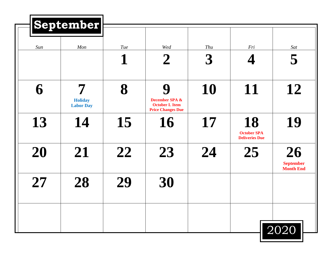|     | September                               |                 |                                                                                     |                             |                                                   |                                            |
|-----|-----------------------------------------|-----------------|-------------------------------------------------------------------------------------|-----------------------------|---------------------------------------------------|--------------------------------------------|
| Sun | Mon                                     | <b>Tue</b><br>1 | Wed<br>$\boldsymbol{2}$                                                             | Thu<br>$\boldsymbol{\beta}$ | Fri                                               | Sat<br>5                                   |
| 6   | 7<br><b>Holiday</b><br><b>Labor Day</b> | 8               | 9<br><b>December SPA &amp;</b><br><b>October L Item</b><br><b>Price Changes Due</b> | 10                          | 11                                                | 12                                         |
| 13  | 14                                      | 15              | 16                                                                                  | 17                          | 18<br><b>October SPA</b><br><b>Deliveries Due</b> | 19                                         |
| 20  | 21                                      | 22              | 23                                                                                  | 24                          | 25                                                | 26<br><b>September</b><br><b>Month End</b> |
| 27  | 28                                      | 29              | 30                                                                                  |                             |                                                   |                                            |
|     |                                         |                 |                                                                                     |                             |                                                   | 2020                                       |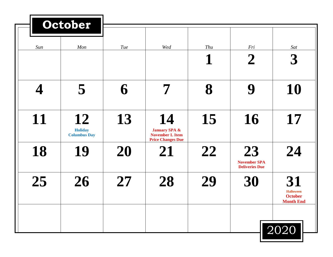|     | October                                     |     |                                                                                      |          |                                                    |                                                              |
|-----|---------------------------------------------|-----|--------------------------------------------------------------------------------------|----------|----------------------------------------------------|--------------------------------------------------------------|
| Sun | Mon                                         | Tue | Wed                                                                                  | Thu<br>1 | Fri<br>$\boldsymbol{2}$                            | Sat<br>$\boldsymbol{\beta}$                                  |
|     | 5                                           | 6   | 7                                                                                    | 8        | 9                                                  | 10                                                           |
| 11  | 12<br><b>Holiday</b><br><b>Columbus Day</b> | 13  | 14<br><b>January SPA &amp;</b><br><b>November L Item</b><br><b>Price Changes Due</b> | 15       | 16                                                 | 17                                                           |
| 18  | 19                                          | 20  | 21                                                                                   | 22       | 23<br><b>November SPA</b><br><b>Deliveries Due</b> | 24                                                           |
| 25  | 26                                          | 27  | 28                                                                                   | 29       | 30                                                 | 31<br><b>Halloween</b><br><b>October</b><br><b>Month End</b> |
|     |                                             |     |                                                                                      |          |                                                    | 2020                                                         |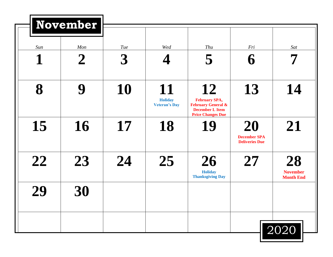|     | <b>November</b>  |                      |                                              |                                                                                                                   |                                                    |                                           |
|-----|------------------|----------------------|----------------------------------------------|-------------------------------------------------------------------------------------------------------------------|----------------------------------------------------|-------------------------------------------|
| Sun | Mon              | Tue                  | Wed                                          | Thu                                                                                                               | Fri                                                | Sat                                       |
| 1   | $\boldsymbol{2}$ | $\boldsymbol{\beta}$ |                                              | 5                                                                                                                 | 6                                                  |                                           |
| 8   | 9                | 10                   | 11<br><b>Holiday</b><br><b>Veteran's Day</b> | 12<br><b>February SPA,</b><br><b>February General &amp;</b><br><b>December L Item</b><br><b>Price Changes Due</b> | 13                                                 | 14                                        |
| 15  | 16               | 17                   | 18                                           | 19                                                                                                                | 20<br><b>December SPA</b><br><b>Deliveries Due</b> | 21                                        |
| 22  | 23               | 24                   | 25                                           | 26<br><b>Holiday</b><br><b>Thanksgiving Day</b>                                                                   | 27                                                 | 28<br><b>November</b><br><b>Month End</b> |
| 29  | 30               |                      |                                              |                                                                                                                   |                                                    |                                           |
|     |                  |                      |                                              |                                                                                                                   |                                                    | 2020                                      |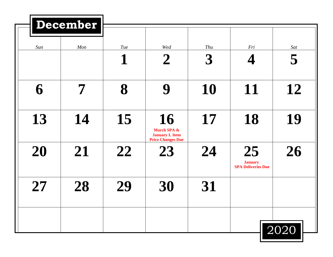|     | December |          |                                                                        |                             |                                                   |          |
|-----|----------|----------|------------------------------------------------------------------------|-----------------------------|---------------------------------------------------|----------|
| Sun | Mon      | Tue<br>1 | Wed<br>$\boldsymbol{2}$                                                | Thu<br>$\boldsymbol{\beta}$ | Fri<br>4                                          | Sat<br>5 |
| 6   | 7        | 8        | 9                                                                      | 10                          | 11                                                | 12       |
| 13  | 14       | 15       | 16<br>March SPA &<br><b>January L Item</b><br><b>Price Changes Due</b> | 17                          | 18                                                | 19       |
| 20  | 21       | 22       | 23                                                                     | 24                          | 25<br><b>January</b><br><b>SPA Deliveries Due</b> | 26       |
| 27  | 28       | 29       | 30                                                                     | 31                          |                                                   |          |
|     |          |          |                                                                        |                             |                                                   | 2020     |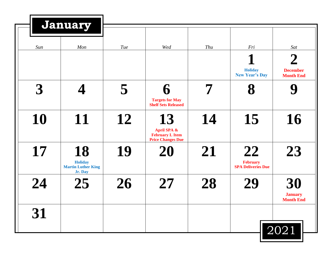|                      | January                                                      |     |                                                                         |     |                                                    |                                          |
|----------------------|--------------------------------------------------------------|-----|-------------------------------------------------------------------------|-----|----------------------------------------------------|------------------------------------------|
| Sun                  | Mon                                                          | Tue | Wed                                                                     | Thu | Fri                                                | Sat                                      |
|                      |                                                              |     |                                                                         |     | <b>Holiday</b><br><b>New Year's Day</b>            | <b>December</b><br><b>Month End</b>      |
| $\boldsymbol{\beta}$ |                                                              | 5   | <b>Targets for May</b><br><b>Shelf Sets Released</b>                    | 7   | 8                                                  |                                          |
| 10                   | 11                                                           | 12  | 13<br>April SPA &<br><b>February L Item</b><br><b>Price Changes Due</b> | 14  | 15                                                 | 16                                       |
| 17                   | 18<br><b>Holiday</b><br><b>Martin Luther King</b><br>Jr. Day | 19  | 20                                                                      | 21  | 22<br><b>February</b><br><b>SPA Deliveries Due</b> | 23                                       |
| 24                   | 25                                                           | 26  | 27                                                                      | 28  | 29                                                 | 30<br><b>January</b><br><b>Month End</b> |
| 31                   |                                                              |     |                                                                         |     |                                                    | 2021                                     |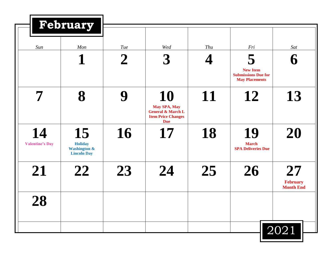|                              | February                                                              |                  |                                                                                                      |     |                                                                             |                                           |
|------------------------------|-----------------------------------------------------------------------|------------------|------------------------------------------------------------------------------------------------------|-----|-----------------------------------------------------------------------------|-------------------------------------------|
| Sun                          | Mon                                                                   | <b>Tue</b>       | Wed                                                                                                  | Thu | Fri                                                                         | Sat                                       |
|                              |                                                                       | $\boldsymbol{2}$ | $\boldsymbol{\beta}$                                                                                 |     | 5<br><b>New Item</b><br><b>Submissions Due for</b><br><b>May Placements</b> |                                           |
| $\overline{\mathbf{7}}$      | 8                                                                     |                  | 10<br><b>May SPA, May</b><br><b>General &amp; March L</b><br><b>Item Price Changes</b><br><b>Due</b> | 11  | 12                                                                          | 13                                        |
| 14<br><b>Valentine's Day</b> | 15<br><b>Holiday</b><br><b>Washington &amp;</b><br><b>Lincoln Day</b> | 16               | 17                                                                                                   | 18  | 19<br><b>March</b><br><b>SPA Deliveries Due</b>                             | 20                                        |
| 21                           | 22                                                                    | 23               | 24                                                                                                   | 25  | 26                                                                          | 27<br><b>February</b><br><b>Month End</b> |
| <b>28</b>                    |                                                                       |                  |                                                                                                      |     |                                                                             |                                           |
|                              |                                                                       |                  |                                                                                                      |     |                                                                             | 2021                                      |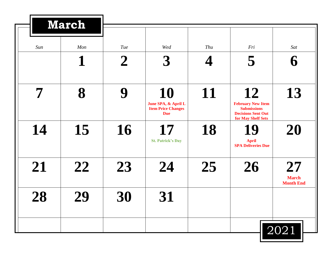|     | <b>March</b> |             |                                                                      |     |                                                                                                         |                                        |
|-----|--------------|-------------|----------------------------------------------------------------------|-----|---------------------------------------------------------------------------------------------------------|----------------------------------------|
| Sun | Mon          | Tue         | Wed                                                                  | Thu | Fri                                                                                                     | Sat                                    |
|     | 1            | $\mathbf 2$ | 3                                                                    |     | 5                                                                                                       |                                        |
| 7   | 8            | 9           | 10<br>June SPA, & April L<br><b>Item Price Changes</b><br><b>Due</b> | 11  | 12<br><b>February New Item</b><br><b>Submissions</b><br><b>Decisions Sent Out</b><br>for May Shelf Sets | 13                                     |
| 14  | 15           | 16          | 17<br><b>St. Patrick's Day</b>                                       | 18  | 19<br><b>April</b><br><b>SPA Deliveries Due</b>                                                         | 20                                     |
| 21  | 22           | 23          | 24                                                                   | 25  | 26                                                                                                      | 27<br><b>March</b><br><b>Month End</b> |
| 28  | 29           | 30          | 31                                                                   |     |                                                                                                         |                                        |
|     |              |             |                                                                      |     |                                                                                                         | 2021                                   |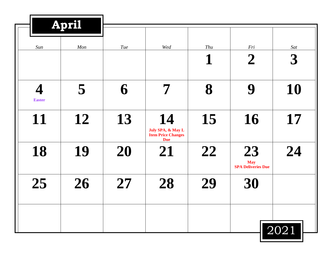|                    | April |     |                                                                    |          |                                               |                             |
|--------------------|-------|-----|--------------------------------------------------------------------|----------|-----------------------------------------------|-----------------------------|
| Sun                | Mon   | Tue | Wed                                                                | Thu<br>1 | Fri<br>$\boldsymbol{2}$                       | Sat<br>$\boldsymbol{\beta}$ |
| 4<br><b>Easter</b> | 5     | 6   | 7                                                                  | 8        | 9                                             | 10                          |
| 11                 | 12    | 13  | 14<br>July SPA, & May L<br><b>Item Price Changes</b><br><b>Due</b> | 15       | 16                                            | 17                          |
| 18                 | 19    | 20  | 21                                                                 | 22       | 23<br><b>May</b><br><b>SPA Deliveries Due</b> | 24                          |
| 25                 | 26    | 27  | 28                                                                 | 29       | 30                                            |                             |
|                    |       |     |                                                                    |          |                                               | 2021                        |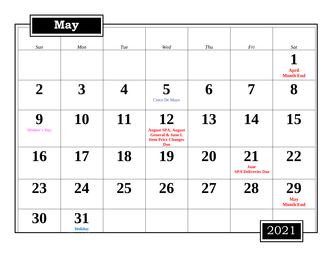|                          | <b>May</b>           |            |                                                                                                           |     |                                                |                                       |
|--------------------------|----------------------|------------|-----------------------------------------------------------------------------------------------------------|-----|------------------------------------------------|---------------------------------------|
| Sun                      | Mon                  | <b>Tue</b> | Wed                                                                                                       | Thu | Fri                                            | Sat                                   |
| $\boldsymbol{2}$         | 3                    |            | 5<br>Cinco De Mayo                                                                                        | 6   | 7                                              | <b>April</b><br><b>Month End</b><br>8 |
| 9<br><b>Mother's Day</b> | 10                   | 11         | 12<br><b>August SPA, August</b><br><b>General &amp; June L</b><br><b>Item Price Changes</b><br><b>Due</b> | 13  | 14                                             | 15                                    |
| 16                       | 17                   | 18         | 19                                                                                                        | 20  | 21<br><b>June</b><br><b>SPA Deliveries Due</b> | 22                                    |
| 23                       | 24                   | 25         | 26                                                                                                        | 27  | 28                                             | 29<br><b>May</b><br><b>Month End</b>  |
| 30                       | 31<br><b>Holiday</b> |            |                                                                                                           |     |                                                | 2021                                  |